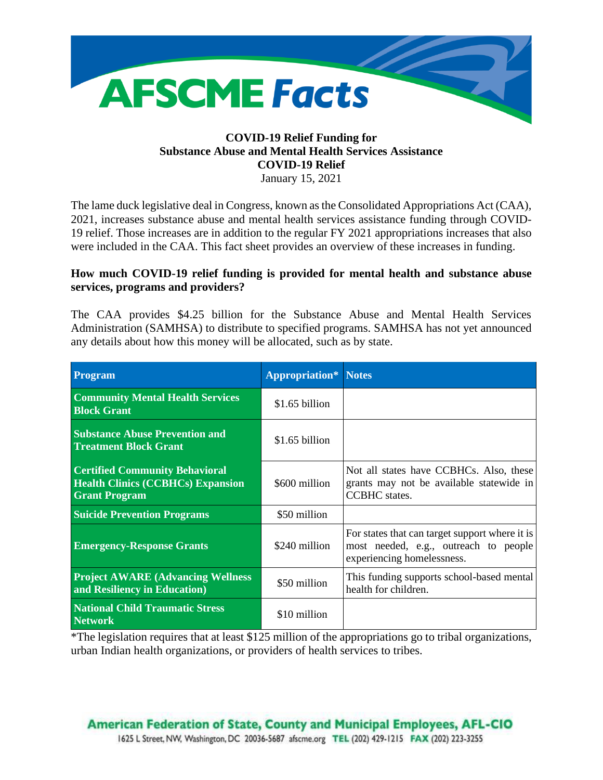

# **COVID-19 Relief Funding for Substance Abuse and Mental Health Services Assistance COVID-19 Relief**

January 15, 2021

The lame duck legislative deal in Congress, known as the Consolidated Appropriations Act (CAA), 2021, increases substance abuse and mental health services assistance funding through COVID-19 relief. Those increases are in addition to the regular FY 2021 appropriations increases that also were included in the CAA. This fact sheet provides an overview of these increases in funding.

# **How much COVID-19 relief funding is provided for mental health and substance abuse services, programs and providers?**

The CAA provides \$4.25 billion for the Substance Abuse and Mental Health Services Administration (SAMHSA) to distribute to specified programs. SAMHSA has not yet announced any details about how this money will be allocated, such as by state.

| Program                                                                                                   | <b>Appropriation*</b> Notes |                                                                                                                       |
|-----------------------------------------------------------------------------------------------------------|-----------------------------|-----------------------------------------------------------------------------------------------------------------------|
| <b>Community Mental Health Services</b><br><b>Block Grant</b>                                             | \$1.65 billion              |                                                                                                                       |
| <b>Substance Abuse Prevention and</b><br><b>Treatment Block Grant</b>                                     | \$1.65 billion              |                                                                                                                       |
| <b>Certified Community Behavioral</b><br><b>Health Clinics (CCBHCs) Expansion</b><br><b>Grant Program</b> | \$600 million               | Not all states have CCBHCs. Also, these<br>grants may not be available statewide in<br><b>CCBHC</b> states.           |
| <b>Suicide Prevention Programs</b>                                                                        | \$50 million                |                                                                                                                       |
| <b>Emergency-Response Grants</b>                                                                          | \$240 million               | For states that can target support where it is<br>most needed, e.g., outreach to people<br>experiencing homelessness. |
| <b>Project AWARE (Advancing Wellness)</b><br>and Resiliency in Education)                                 | \$50 million                | This funding supports school-based mental<br>health for children.                                                     |
| <b>National Child Traumatic Stress</b><br><b>Network</b>                                                  | \$10 million                |                                                                                                                       |

\*The legislation requires that at least \$125 million of the appropriations go to tribal organizations, urban Indian health organizations, or providers of health services to tribes.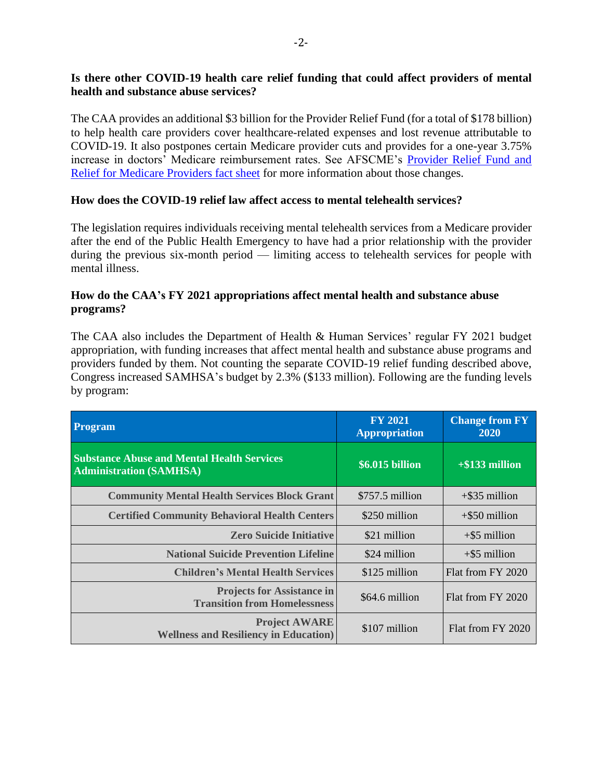## **Is there other COVID-19 health care relief funding that could affect providers of mental health and substance abuse services?**

The CAA provides an additional \$3 billion for the Provider Relief Fund (for a total of \$178 billion) to help health care providers cover healthcare-related expenses and lost revenue attributable to COVID-19. It also postpones certain Medicare provider cuts and provides for a one-year 3.75% increase in doctors' Medicare reimbursement rates. See AFSCME's [Provider Relief Fund and](https://afscmestaff.org/wp-content/uploads/2021/01/PRF-Medicare-Providers-Fact-Sheet-01132021.pdf)  [Relief for Medicare Providers fact sheet](https://afscmestaff.org/wp-content/uploads/2021/01/PRF-Medicare-Providers-Fact-Sheet-01132021.pdf) for more information about those changes.

#### **How does the COVID-19 relief law affect access to mental telehealth services?**

The legislation requires individuals receiving mental telehealth services from a Medicare provider after the end of the Public Health Emergency to have had a prior relationship with the provider during the previous six-month period — limiting access to telehealth services for people with mental illness.

## **How do the CAA's FY 2021 appropriations affect mental health and substance abuse programs?**

The CAA also includes the Department of Health & Human Services' regular FY 2021 budget appropriation, with funding increases that affect mental health and substance abuse programs and providers funded by them. Not counting the separate COVID-19 relief funding described above, Congress increased SAMHSA's budget by 2.3% (\$133 million). Following are the funding levels by program:

| <b>Program</b>                                                                      | <b>FY 2021</b><br><b>Appropriation</b> | <b>Change from FY</b><br>2020 |
|-------------------------------------------------------------------------------------|----------------------------------------|-------------------------------|
| <b>Substance Abuse and Mental Health Services</b><br><b>Administration (SAMHSA)</b> | \$6.015 billion                        | $+$ \$133 million             |
| <b>Community Mental Health Services Block Grant</b>                                 | $$757.5$ million                       | $+$ \$35 million              |
| <b>Certified Community Behavioral Health Centers</b>                                | \$250 million                          | $+$ \$50 million              |
| <b>Zero Suicide Initiative</b>                                                      | \$21 million                           | $+$ \$5 million               |
| <b>National Suicide Prevention Lifeline</b>                                         | \$24 million                           | $+$ \$5 million               |
| <b>Children's Mental Health Services</b>                                            | \$125 million                          | Flat from FY 2020             |
| <b>Projects for Assistance in</b><br><b>Transition from Homelessness</b>            | \$64.6 million                         | Flat from FY 2020             |
| <b>Project AWARE</b><br><b>Wellness and Resiliency in Education</b> )               | \$107 million                          | Flat from FY 2020             |